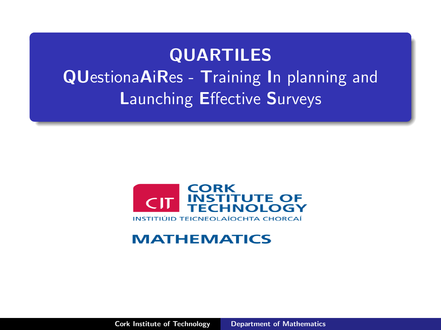# <span id="page-0-0"></span>QUARTILES QUestionaAiRes - Training In planning and Launching Effective Surveys



#### **MATHEMATICS**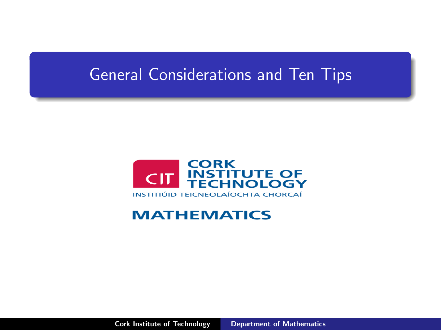### General Considerations and Ten Tips



#### **MATHEMATICS**

Cork Institute of Technology [Department of Mathematics](#page-0-0)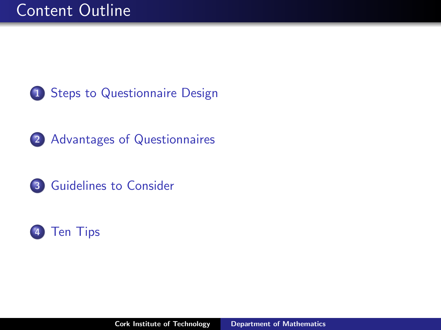





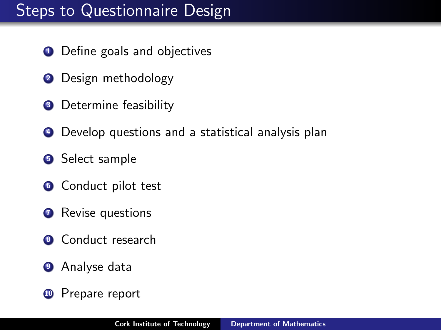### <span id="page-3-0"></span>Steps to Questionnaire Design

- Define goals and objectives
- Design methodology
- Determine feasibility
- Develop questions and a statistical analysis plan
- Select sample
- Conduct pilot test
- **Revise questions**
- Conduct research
- Analyse data
- <sup>10</sup> Prepare report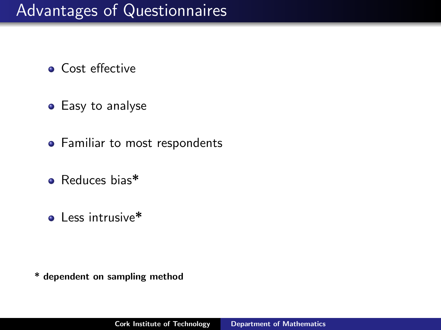- <span id="page-4-0"></span>**• Cost effective**
- Easy to analyse
- Familiar to most respondents
- Reduces bias\*
- $\bullet$  Less intrusive\*

\* dependent on sampling method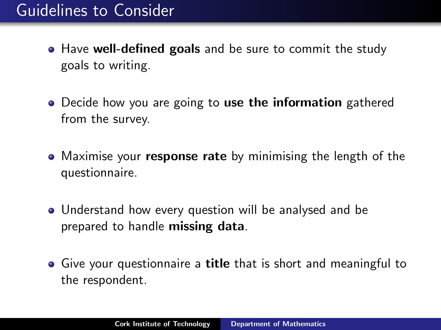### <span id="page-5-0"></span>Guidelines to Consider

- Have well-defined goals and be sure to commit the study goals to writing.
- Decide how you are going to use the information gathered from the survey.
- Maximise your **response rate** by minimising the length of the questionnaire.
- Understand how every question will be analysed and be prepared to handle missing data.
- Give your questionnaire a title that is short and meaningful to the respondent.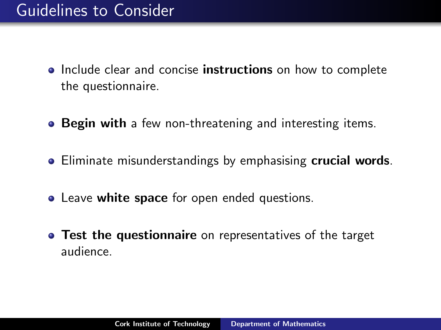- Include clear and concise **instructions** on how to complete the questionnaire.
- **Begin with** a few non-threatening and interesting items.
- **Eliminate misunderstandings by emphasising crucial words.**
- **Leave white space** for open ended questions.
- **Test the questionnaire** on representatives of the target audience.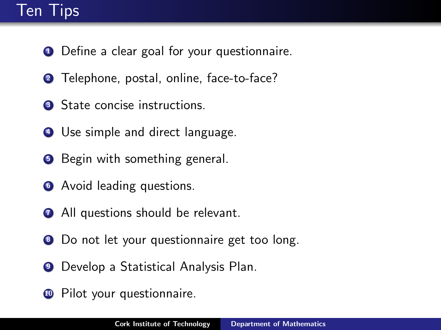## <span id="page-7-0"></span>Ten Tips

- **1** Define a clear goal for your questionnaire.
- **2** Telephone, postal, online, face-to-face?
- **3** State concise instructions.
- **4** Use simple and direct language.
- **5** Begin with something general.
- **<sup>6</sup>** Avoid leading questions.
- **2** All questions should be relevant.
- **8** Do not let your questionnaire get too long.
- **9** Develop a Statistical Analysis Plan.
- <sup>10</sup> Pilot your questionnaire.